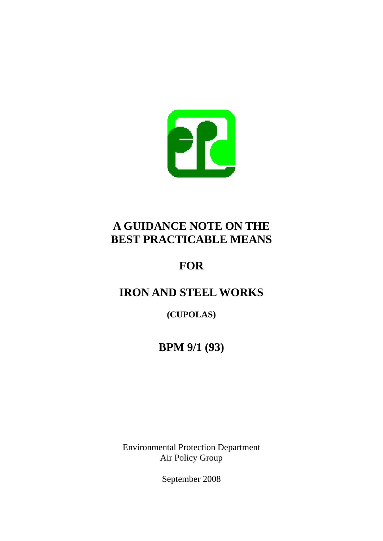

# **A GUIDANCE NOTE ON THE BEST PRACTICABLE MEANS**

# **FOR**

# **IRON AND STEEL WORKS**

**(CUPOLAS)** 

# **BPM 9/1 (93)**

Environmental Protection Department Air Policy Group

September 2008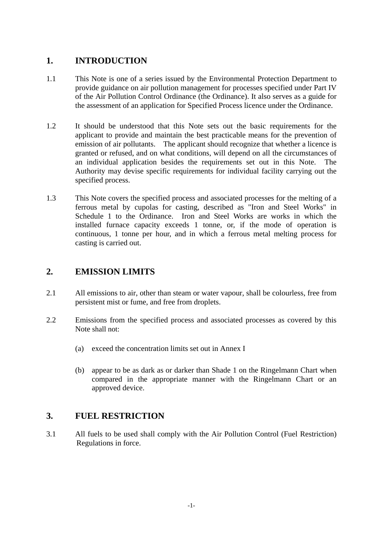## **1. INTRODUCTION**

- 1.1 This Note is one of a series issued by the Environmental Protection Department to provide guidance on air pollution management for processes specified under Part IV of the Air Pollution Control Ordinance (the Ordinance). It also serves as a guide for the assessment of an application for Specified Process licence under the Ordinance.
- 1.2 It should be understood that this Note sets out the basic requirements for the applicant to provide and maintain the best practicable means for the prevention of emission of air pollutants. The applicant should recognize that whether a licence is granted or refused, and on what conditions, will depend on all the circumstances of an individual application besides the requirements set out in this Note. The Authority may devise specific requirements for individual facility carrying out the specified process.
- 1.3 This Note covers the specified process and associated processes for the melting of a ferrous metal by cupolas for casting, described as "Iron and Steel Works" in Schedule 1 to the Ordinance. Iron and Steel Works are works in which the installed furnace capacity exceeds 1 tonne, or, if the mode of operation is continuous, 1 tonne per hour, and in which a ferrous metal melting process for casting is carried out.

## **2. EMISSION LIMITS**

- 2.1 All emissions to air, other than steam or water vapour, shall be colourless, free from persistent mist or fume, and free from droplets.
- 2.2 Emissions from the specified process and associated processes as covered by this Note shall not:
	- (a) exceed the concentration limits set out in Annex I
	- (b) appear to be as dark as or darker than Shade 1 on the Ringelmann Chart when compared in the appropriate manner with the Ringelmann Chart or an approved device.

## **3. FUEL RESTRICTION**

3.1 All fuels to be used shall comply with the Air Pollution Control (Fuel Restriction) Regulations in force.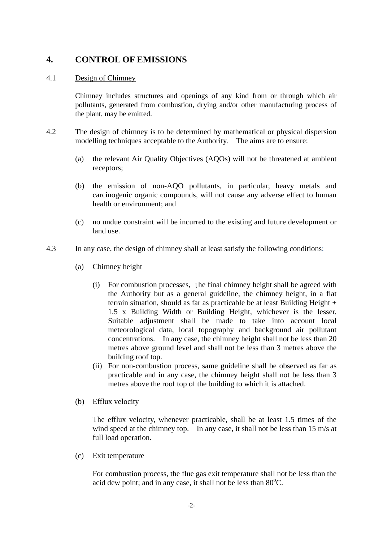## **4. CONTROL OF EMISSIONS**

#### 4.1 Design of Chimney

Chimney includes structures and openings of any kind from or through which air pollutants, generated from combustion, drying and/or other manufacturing process of the plant, may be emitted.

- 4.2 The design of chimney is to be determined by mathematical or physical dispersion modelling techniques acceptable to the Authority. The aims are to ensure:
	- (a) the relevant Air Quality Objectives (AQOs) will not be threatened at ambient receptors;
	- (b) the emission of non-AQO pollutants, in particular, heavy metals and carcinogenic organic compounds, will not cause any adverse effect to human health or environment; and
	- (c) no undue constraint will be incurred to the existing and future development or land use.
- 4.3 In any case, the design of chimney shall at least satisfy the following conditions:
	- (a) Chimney height
		- 1.5 x Building Width or Building Height, whichever is the lesser. (i) For combustion processes, the final chimney height shall be agreed with the Authority but as a general guideline, the chimney height, in a flat terrain situation, should as far as practicable be at least Building Height + Suitable adjustment shall be made to take into account local meteorological data, local topography and background air pollutant concentrations. In any case, the chimney height shall not be less than 20 metres above ground level and shall not be less than 3 metres above the building roof top.
		- (ii) For non-combustion process, same guideline shall be observed as far as practicable and in any case, the chimney height shall not be less than 3 metres above the roof top of the building to which it is attached.
	- (b) Efflux velocity

The efflux velocity, whenever practicable, shall be at least 1.5 times of the wind speed at the chimney top. In any case, it shall not be less than 15 m/s at full load operation.

(c) Exit temperature

For combustion process, the flue gas exit temperature shall not be less than the acid dew point; and in any case, it shall not be less than  $80^{\circ}$ C.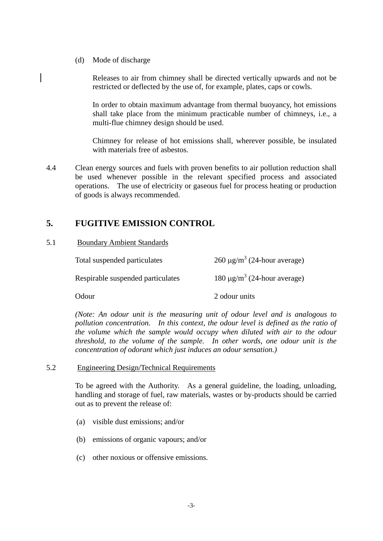(d) Mode of discharge

Releases to air from chimney shall be directed vertically upwards and not be restricted or deflected by the use of, for example, plates, caps or cowls.

In order to obtain maximum advantage from thermal buoyancy, hot emissions shall take place from the minimum practicable number of chimneys, i.e., a multi-flue chimney design should be used.

Chimney for release of hot emissions shall, wherever possible, be insulated with materials free of asbestos.

4.4 Clean energy sources and fuels with proven benefits to air pollution reduction shall be used whenever possible in the relevant specified process and associated operations. The use of electricity or gaseous fuel for process heating or production of goods is always recommended.

# **5. FUGITIVE EMISSION CONTROL**

#### 5.1 Boundary Ambient Standards

| Total suspended particulates      | $260 \mu g/m^3$ (24-hour average)            |
|-----------------------------------|----------------------------------------------|
| Respirable suspended particulates | 180 $\mu$ g/m <sup>3</sup> (24-hour average) |
| Odour                             | 2 odour units                                |

*(Note: An odour unit is the measuring unit of odour level and is analogous to pollution concentration. In this context, the odour level is defined as the ratio of the volume which the sample would occupy when diluted with air to the odour threshold, to the volume of the sample. In other words, one odour unit is the concentration of odorant which just induces an odour sensation.)* 

#### 5.2 Engineering Design/Technical Requirements

To be agreed with the Authority. As a general guideline, the loading, unloading, handling and storage of fuel, raw materials, wastes or by-products should be carried out as to prevent the release of:

- (a) visible dust emissions; and/or
- (b) emissions of organic vapours; and/or
- (c) other noxious or offensive emissions.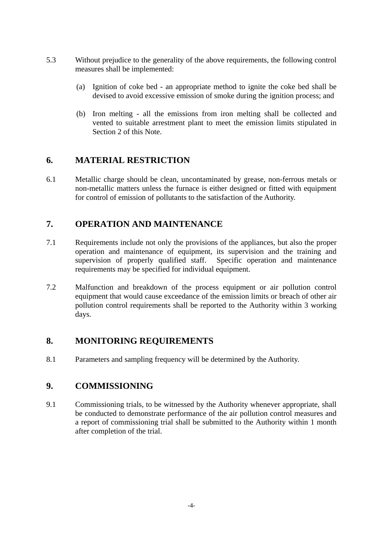- 5.3 Without prejudice to the generality of the above requirements, the following control measures shall be implemented:
	- (a) Ignition of coke bed an appropriate method to ignite the coke bed shall be devised to avoid excessive emission of smoke during the ignition process; and
	- (b) Iron melting all the emissions from iron melting shall be collected and vented to suitable arrestment plant to meet the emission limits stipulated in Section 2 of this Note.

### **6. MATERIAL RESTRICTION**

6.1 Metallic charge should be clean, uncontaminated by grease, non-ferrous metals or non-metallic matters unless the furnace is either designed or fitted with equipment for control of emission of pollutants to the satisfaction of the Authority.

## **7. OPERATION AND MAINTENANCE**

- 7.1 Requirements include not only the provisions of the appliances, but also the proper operation and maintenance of equipment, its supervision and the training and supervision of properly qualified staff. Specific operation and maintenance requirements may be specified for individual equipment.
- 7.2 Malfunction and breakdown of the process equipment or air pollution control equipment that would cause exceedance of the emission limits or breach of other air pollution control requirements shall be reported to the Authority within 3 working days.

### **8. MONITORING REQUIREMENTS**

8.1 Parameters and sampling frequency will be determined by the Authority.

### **9. COMMISSIONING**

9.1 Commissioning trials, to be witnessed by the Authority whenever appropriate, shall be conducted to demonstrate performance of the air pollution control measures and a report of commissioning trial shall be submitted to the Authority within 1 month after completion of the trial.